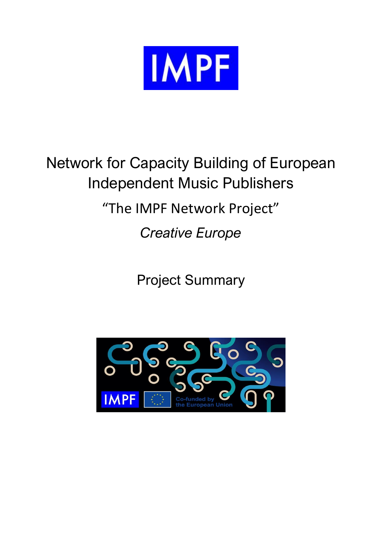

# Network for Capacity Building of European Independent Music Publishers "The IMPF Network Project"

*Creative Europe* 

Project Summary

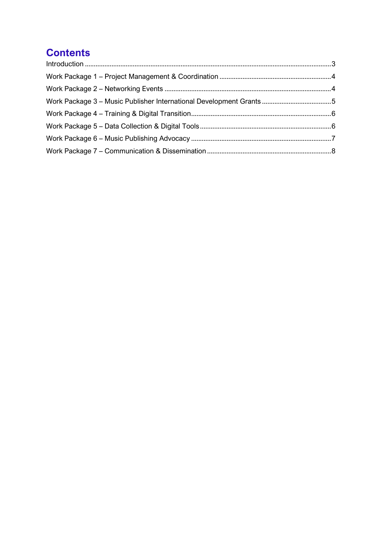## **Contents**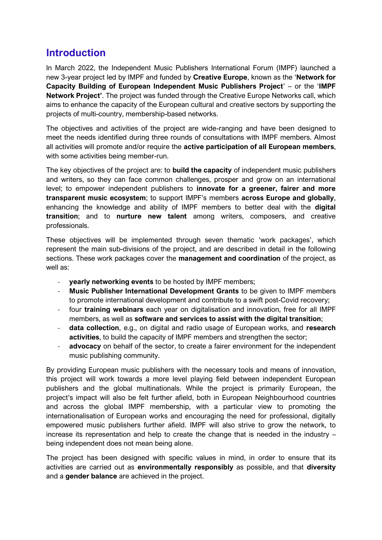## <span id="page-2-0"></span>**Introduction**

In March 2022, the Independent Music Publishers International Forum (IMPF) launched a new 3-year project led by IMPF and funded by **Creative Europe**, known as the '**Network for Capacity Building of European Independent Music Publishers Project**' – or the '**IMPF Network Project'**. The project was funded through the Creative Europe Networks call, which aims to enhance the capacity of the European cultural and creative sectors by supporting the projects of multi-country, membership-based networks.

The objectives and activities of the project are wide-ranging and have been designed to meet the needs identified during three rounds of consultations with IMPF members. Almost all activities will promote and/or require the **active participation of all European members**, with some activities being member-run.

The key objectives of the project are: to **build the capacity** of independent music publishers and writers, so they can face common challenges, prosper and grow on an international level; to empower independent publishers to **innovate for a greener, fairer and more transparent music ecosystem**; to support IMPF's members **across Europe and globally**, enhancing the knowledge and ability of IMPF members to better deal with the **digital transition**; and to **nurture new talent** among writers, composers, and creative professionals.

These objectives will be implemented through seven thematic 'work packages', which represent the main sub-divisions of the project, and are described in detail in the following sections. These work packages cover the **management and coordination** of the project, as well as:

- **yearly networking events** to be hosted by IMPF members;
- **Music Publisher International Development Grants** to be given to IMPF members to promote international development and contribute to a swift post-Covid recovery;
- four **training webinars** each year on digitalisation and innovation, free for all IMPF members, as well as **software and services to assist with the digital transition**;
- **data collection**, e.g., on digital and radio usage of European works, and **research activities**, to build the capacity of IMPF members and strengthen the sector;
- **advocacy** on behalf of the sector, to create a fairer environment for the independent music publishing community.

By providing European music publishers with the necessary tools and means of innovation, this project will work towards a more level playing field between independent European publishers and the global multinationals. While the project is primarily European, the project's impact will also be felt further afield, both in European Neighbourhood countries and across the global IMPF membership, with a particular view to promoting the internationalisation of European works and encouraging the need for professional, digitally empowered music publishers further afield. IMPF will also strive to grow the network, to increase its representation and help to create the change that is needed in the industry – being independent does not mean being alone.

The project has been designed with specific values in mind, in order to ensure that its activities are carried out as **environmentally responsibly** as possible, and that **diversity** and a **gender balance** are achieved in the project.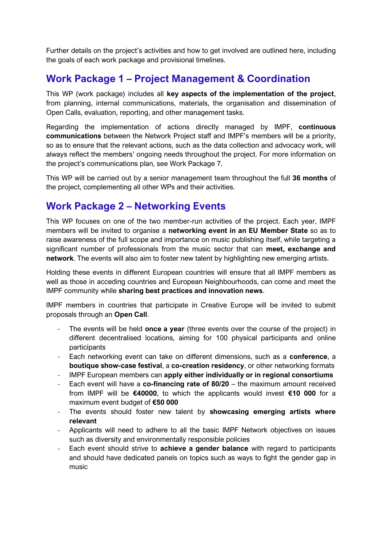Further details on the project's activities and how to get involved are outlined here, including the goals of each work package and provisional timelines.

## <span id="page-3-0"></span>**Work Package 1 – Project Management & Coordination**

This WP (work package) includes all **key aspects of the implementation of the project**, from planning, internal communications, materials, the organisation and dissemination of Open Calls, evaluation, reporting, and other management tasks.

Regarding the implementation of actions directly managed by IMPF, **continuous communications** between the Network Project staff and IMPF's members will be a priority, so as to ensure that the relevant actions, such as the data collection and advocacy work, will always reflect the members' ongoing needs throughout the project. For more information on the project's communications plan, see Work Package 7.

This WP will be carried out by a senior management team throughout the full **36 months** of the project, complementing all other WPs and their activities.

#### <span id="page-3-1"></span>**Work Package 2 – Networking Events**

This WP focuses on one of the two member-run activities of the project. Each year, IMPF members will be invited to organise a **networking event in an EU Member State** so as to raise awareness of the full scope and importance on music publishing itself, while targeting a significant number of professionals from the music sector that can **meet, exchange and network**. The events will also aim to foster new talent by highlighting new emerging artists.

Holding these events in different European countries will ensure that all IMPF members as well as those in acceding countries and European Neighbourhoods, can come and meet the IMPF community while **sharing best practices and innovation news**.

IMPF members in countries that participate in Creative Europe will be invited to submit proposals through an **Open Call**.

- The events will be held **once a year** (three events over the course of the project) in different decentralised locations, aiming for 100 physical participants and online participants
- Each networking event can take on different dimensions, such as a **conference**, a **boutique show-case festival**, a **co-creation residency**, or other networking formats
- IMPF European members can **apply either individually or in regional consortiums**
- Each event will have a **co-financing rate of 80/20** the maximum amount received from IMPF will be **€40000**, to which the applicants would invest **€10 000** for a maximum event budget of **€50 000**
- The events should foster new talent by **showcasing emerging artists where relevant**
- Applicants will need to adhere to all the basic IMPF Network objectives on issues such as diversity and environmentally responsible policies
- Each event should strive to **achieve a gender balance** with regard to participants and should have dedicated panels on topics such as ways to fight the gender gap in music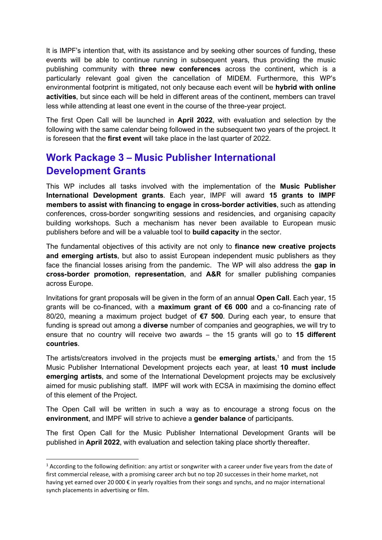It is IMPF's intention that, with its assistance and by seeking other sources of funding, these events will be able to continue running in subsequent years, thus providing the music publishing community with **three new conferences** across the continent, which is a particularly relevant goal given the cancellation of MIDEM. Furthermore, this WP's environmental footprint is mitigated, not only because each event will be **hybrid with online activities**, but since each will be held in different areas of the continent, members can travel less while attending at least one event in the course of the three-year project.

The first Open Call will be launched in **April 2022**, with evaluation and selection by the following with the same calendar being followed in the subsequent two years of the project. It is foreseen that the **first event** will take place in the last quarter of 2022.

## <span id="page-4-0"></span>**Work Package 3 – Music Publisher International Development Grants**

This WP includes all tasks involved with the implementation of the **Music Publisher International Development grants**. Each year, IMPF will award **15 grants to IMPF members to assist with financing to engage in cross-border activities**, such as attending conferences, cross-border songwriting sessions and residencies, and organising capacity building workshops. Such a mechanism has never been available to European music publishers before and will be a valuable tool to **build capacity** in the sector.

The fundamental objectives of this activity are not only to **finance new creative projects and emerging artists**, but also to assist European independent music publishers as they face the financial losses arising from the pandemic. The WP will also address the **gap in cross-border promotion**, **representation**, and **A&R** for smaller publishing companies across Europe.

Invitations for grant proposals will be given in the form of an annual **Open Call**. Each year, 15 grants will be co-financed, with a **maximum grant of €6 000** and a co-financing rate of 80/20, meaning a maximum project budget of **€7 500**. During each year, to ensure that funding is spread out among a **diverse** number of companies and geographies, we will try to ensure that no country will receive two awards – the 15 grants will go to **15 different countries**.

The artists/creators involved in the projects must be **emerging artists**, <sup>1</sup> and from the 15 Music Publisher International Development projects each year, at least **10 must include emerging artists**, and some of the International Development projects may be exclusively aimed for music publishing staff. IMPF will work with ECSA in maximising the domino effect of this element of the Project.

The Open Call will be written in such a way as to encourage a strong focus on the **environment**, and IMPF will strive to achieve a **gender balance** of participants.

The first Open Call for the Music Publisher International Development Grants will be published in **April 2022**, with evaluation and selection taking place shortly thereafter.

 $1$  According to the following definition: any artist or songwriter with a career under five years from the date of first commercial release, with a promising career arch but no top 20 successes in their home market, not having yet earned over 20 000 € in yearly royalties from their songs and synchs, and no major international synch placements in advertising or film.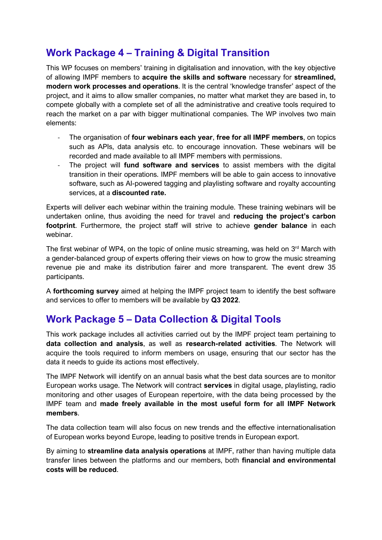## <span id="page-5-0"></span>**Work Package 4 – Training & Digital Transition**

This WP focuses on members' training in digitalisation and innovation, with the key objective of allowing IMPF members to **acquire the skills and software** necessary for **streamlined, modern work processes and operations**. It is the central 'knowledge transfer' aspect of the project, and it aims to allow smaller companies, no matter what market they are based in, to compete globally with a complete set of all the administrative and creative tools required to reach the market on a par with bigger multinational companies. The WP involves two main elements:

- The organisation of **four webinars each year**, **free for all IMPF members**, on topics such as APIs, data analysis etc. to encourage innovation. These webinars will be recorded and made available to all IMPF members with permissions.
- The project will **fund software and services** to assist members with the digital transition in their operations. IMPF members will be able to gain access to innovative software, such as AI-powered tagging and playlisting software and royalty accounting services, at a **discounted rate.**

Experts will deliver each webinar within the training module. These training webinars will be undertaken online, thus avoiding the need for travel and **reducing the project's carbon footprint**. Furthermore, the project staff will strive to achieve **gender balance** in each webinar.

The first webinar of WP4, on the topic of online music streaming, was held on  $3<sup>rd</sup>$  March with a gender-balanced group of experts offering their views on how to grow the music streaming revenue pie and make its distribution fairer and more transparent. The event drew 35 participants.

A **forthcoming survey** aimed at helping the IMPF project team to identify the best software and services to offer to members will be available by **Q3 2022**.

## <span id="page-5-1"></span>**Work Package 5 – Data Collection & Digital Tools**

This work package includes all activities carried out by the IMPF project team pertaining to **data collection and analysis**, as well as **research-related activities**. The Network will acquire the tools required to inform members on usage, ensuring that our sector has the data it needs to guide its actions most effectively.

The IMPF Network will identify on an annual basis what the best data sources are to monitor European works usage. The Network will contract **services** in digital usage, playlisting, radio monitoring and other usages of European repertoire, with the data being processed by the IMPF team and **made freely available in the most useful form for all IMPF Network members**.

The data collection team will also focus on new trends and the effective internationalisation of European works beyond Europe, leading to positive trends in European export.

By aiming to **streamline data analysis operations** at IMPF, rather than having multiple data transfer lines between the platforms and our members, both **financial and environmental costs will be reduced**.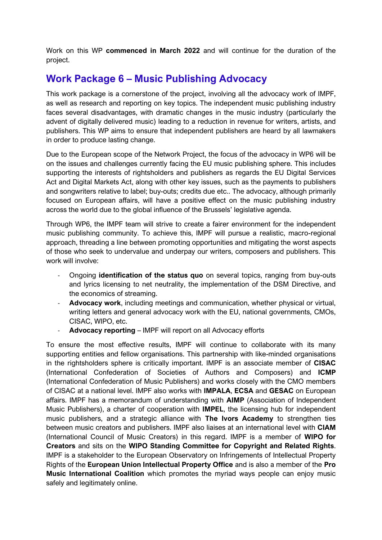Work on this WP **commenced in March 2022** and will continue for the duration of the project.

#### <span id="page-6-0"></span>**Work Package 6 – Music Publishing Advocacy**

This work package is a cornerstone of the project, involving all the advocacy work of IMPF, as well as research and reporting on key topics. The independent music publishing industry faces several disadvantages, with dramatic changes in the music industry (particularly the advent of digitally delivered music) leading to a reduction in revenue for writers, artists, and publishers. This WP aims to ensure that independent publishers are heard by all lawmakers in order to produce lasting change.

Due to the European scope of the Network Project, the focus of the advocacy in WP6 will be on the issues and challenges currently facing the EU music publishing sphere. This includes supporting the interests of rightsholders and publishers as regards the EU Digital Services Act and Digital Markets Act, along with other key issues, such as the payments to publishers and songwriters relative to label; buy-outs; credits due etc.. The advocacy, although primarily focused on European affairs, will have a positive effect on the music publishing industry across the world due to the global influence of the Brussels' legislative agenda.

Through WP6, the IMPF team will strive to create a fairer environment for the independent music publishing community. To achieve this, IMPF will pursue a realistic, macro-regional approach, threading a line between promoting opportunities and mitigating the worst aspects of those who seek to undervalue and underpay our writers, composers and publishers. This work will involve:

- Ongoing **identification of the status quo** on several topics, ranging from buy-outs and lyrics licensing to net neutrality, the implementation of the DSM Directive, and the economics of streaming.
- Advocacy work, including meetings and communication, whether physical or virtual, writing letters and general advocacy work with the EU, national governments, CMOs, CISAC, WIPO, etc.
- Advocacy reporting IMPF will report on all Advocacy efforts

To ensure the most effective results, IMPF will continue to collaborate with its many supporting entities and fellow organisations. This partnership with like-minded organisations in the rightsholders sphere is critically important. IMPF is an associate member of **CISAC** (International Confederation of Societies of Authors and Composers) and **ICMP** (International Confederation of Music Publishers) and works closely with the CMO members of CISAC at a national level. IMPF also works with **IMPALA**, **ECSA** and **GESAC** on European affairs. IMPF has a memorandum of understanding with **AIMP** (Association of Independent Music Publishers), a charter of cooperation with **IMPEL**, the licensing hub for independent music publishers, and a strategic alliance with **The Ivors Academy** to strengthen ties between music creators and publishers. IMPF also liaises at an international level with **CIAM** (International Council of Music Creators) in this regard. IMPF is a member of **WIPO for Creators** and sits on the **WIPO Standing Committee for Copyright and Related Rights**. IMPF is a stakeholder to the European Observatory on Infringements of Intellectual Property Rights of the **European Union Intellectual Property Office** and is also a member of the **Pro Music International Coalition** which promotes the myriad ways people can enjoy music safely and legitimately online.